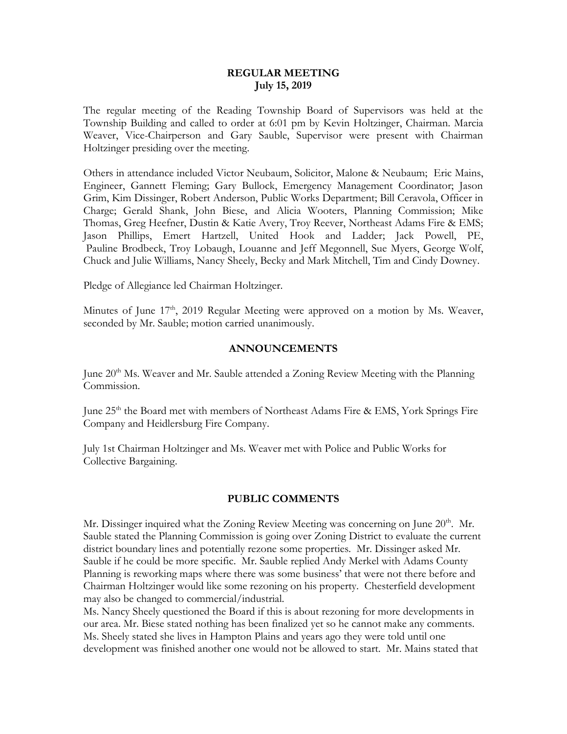### **REGULAR MEETING July 15, 2019**

The regular meeting of the Reading Township Board of Supervisors was held at the Township Building and called to order at 6:01 pm by Kevin Holtzinger, Chairman. Marcia Weaver, Vice-Chairperson and Gary Sauble, Supervisor were present with Chairman Holtzinger presiding over the meeting.

Others in attendance included Victor Neubaum, Solicitor, Malone & Neubaum; Eric Mains, Engineer, Gannett Fleming; Gary Bullock, Emergency Management Coordinator; Jason Grim, Kim Dissinger, Robert Anderson, Public Works Department; Bill Ceravola, Officer in Charge; Gerald Shank, John Biese, and Alicia Wooters, Planning Commission; Mike Thomas, Greg Heefner, Dustin & Katie Avery, Troy Reever, Northeast Adams Fire & EMS; Jason Phillips, Emert Hartzell, United Hook and Ladder; Jack Powell, PE, Pauline Brodbeck, Troy Lobaugh, Louanne and Jeff Megonnell, Sue Myers, George Wolf, Chuck and Julie Williams, Nancy Sheely, Becky and Mark Mitchell, Tim and Cindy Downey.

Pledge of Allegiance led Chairman Holtzinger.

Minutes of June 17<sup>th</sup>, 2019 Regular Meeting were approved on a motion by Ms. Weaver, seconded by Mr. Sauble; motion carried unanimously.

#### **ANNOUNCEMENTS**

June  $20<sup>th</sup>$  Ms. Weaver and Mr. Sauble attended a Zoning Review Meeting with the Planning Commission.

June 25<sup>th</sup> the Board met with members of Northeast Adams Fire & EMS, York Springs Fire Company and Heidlersburg Fire Company.

July 1st Chairman Holtzinger and Ms. Weaver met with Police and Public Works for Collective Bargaining.

#### **PUBLIC COMMENTS**

Mr. Dissinger inquired what the Zoning Review Meeting was concerning on June 20<sup>th</sup>. Mr. Sauble stated the Planning Commission is going over Zoning District to evaluate the current district boundary lines and potentially rezone some properties. Mr. Dissinger asked Mr. Sauble if he could be more specific. Mr. Sauble replied Andy Merkel with Adams County Planning is reworking maps where there was some business' that were not there before and Chairman Holtzinger would like some rezoning on his property. Chesterfield development may also be changed to commercial/industrial.

Ms. Nancy Sheely questioned the Board if this is about rezoning for more developments in our area. Mr. Biese stated nothing has been finalized yet so he cannot make any comments. Ms. Sheely stated she lives in Hampton Plains and years ago they were told until one development was finished another one would not be allowed to start. Mr. Mains stated that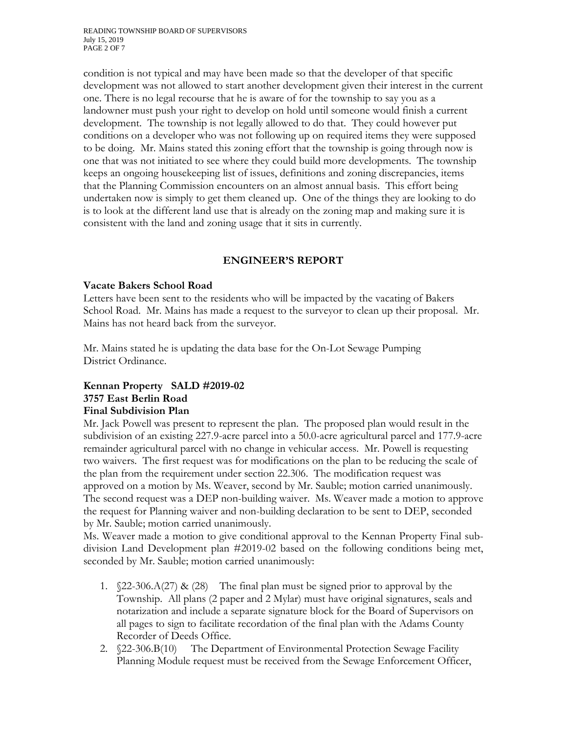READING TOWNSHIP BOARD OF SUPERVISORS July 15, 2019 PAGE 2 OF 7

condition is not typical and may have been made so that the developer of that specific development was not allowed to start another development given their interest in the current one. There is no legal recourse that he is aware of for the township to say you as a landowner must push your right to develop on hold until someone would finish a current development. The township is not legally allowed to do that. They could however put conditions on a developer who was not following up on required items they were supposed to be doing. Mr. Mains stated this zoning effort that the township is going through now is one that was not initiated to see where they could build more developments. The township keeps an ongoing housekeeping list of issues, definitions and zoning discrepancies, items that the Planning Commission encounters on an almost annual basis. This effort being undertaken now is simply to get them cleaned up. One of the things they are looking to do is to look at the different land use that is already on the zoning map and making sure it is consistent with the land and zoning usage that it sits in currently.

## **ENGINEER'S REPORT**

### **Vacate Bakers School Road**

Letters have been sent to the residents who will be impacted by the vacating of Bakers School Road. Mr. Mains has made a request to the surveyor to clean up their proposal. Mr. Mains has not heard back from the surveyor.

Mr. Mains stated he is updating the data base for the On-Lot Sewage Pumping District Ordinance.

# **Kennan Property SALD #2019-02 3757 East Berlin Road Final Subdivision Plan**

Mr. Jack Powell was present to represent the plan. The proposed plan would result in the subdivision of an existing 227.9-acre parcel into a 50.0-acre agricultural parcel and 177.9-acre remainder agricultural parcel with no change in vehicular access. Mr. Powell is requesting two waivers. The first request was for modifications on the plan to be reducing the scale of the plan from the requirement under section 22.306. The modification request was approved on a motion by Ms. Weaver, second by Mr. Sauble; motion carried unanimously. The second request was a DEP non-building waiver. Ms. Weaver made a motion to approve the request for Planning waiver and non-building declaration to be sent to DEP, seconded by Mr. Sauble; motion carried unanimously.

Ms. Weaver made a motion to give conditional approval to the Kennan Property Final subdivision Land Development plan #2019-02 based on the following conditions being met, seconded by Mr. Sauble; motion carried unanimously:

- 1.  $\sqrt{22-306}$ .A(27) & (28) The final plan must be signed prior to approval by the Township. All plans (2 paper and 2 Mylar) must have original signatures, seals and notarization and include a separate signature block for the Board of Supervisors on all pages to sign to facilitate recordation of the final plan with the Adams County Recorder of Deeds Office.
- 2. §22-306.B(10) The Department of Environmental Protection Sewage Facility Planning Module request must be received from the Sewage Enforcement Officer,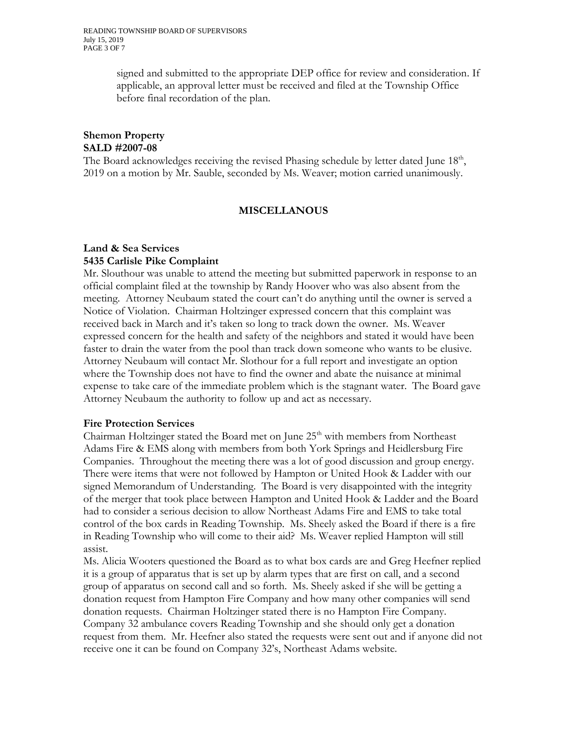signed and submitted to the appropriate DEP office for review and consideration. If applicable, an approval letter must be received and filed at the Township Office before final recordation of the plan.

# **Shemon Property SALD #2007-08**

The Board acknowledges receiving the revised Phasing schedule by letter dated June 18<sup>th</sup>, 2019 on a motion by Mr. Sauble, seconded by Ms. Weaver; motion carried unanimously.

# **MISCELLANOUS**

# **Land & Sea Services 5435 Carlisle Pike Complaint**

Mr. Slouthour was unable to attend the meeting but submitted paperwork in response to an official complaint filed at the township by Randy Hoover who was also absent from the meeting. Attorney Neubaum stated the court can't do anything until the owner is served a Notice of Violation. Chairman Holtzinger expressed concern that this complaint was received back in March and it's taken so long to track down the owner. Ms. Weaver expressed concern for the health and safety of the neighbors and stated it would have been faster to drain the water from the pool than track down someone who wants to be elusive. Attorney Neubaum will contact Mr. Slothour for a full report and investigate an option where the Township does not have to find the owner and abate the nuisance at minimal expense to take care of the immediate problem which is the stagnant water. The Board gave Attorney Neubaum the authority to follow up and act as necessary.

## **Fire Protection Services**

Chairman Holtzinger stated the Board met on June  $25<sup>th</sup>$  with members from Northeast Adams Fire & EMS along with members from both York Springs and Heidlersburg Fire Companies. Throughout the meeting there was a lot of good discussion and group energy. There were items that were not followed by Hampton or United Hook & Ladder with our signed Memorandum of Understanding. The Board is very disappointed with the integrity of the merger that took place between Hampton and United Hook & Ladder and the Board had to consider a serious decision to allow Northeast Adams Fire and EMS to take total control of the box cards in Reading Township. Ms. Sheely asked the Board if there is a fire in Reading Township who will come to their aid? Ms. Weaver replied Hampton will still assist.

Ms. Alicia Wooters questioned the Board as to what box cards are and Greg Heefner replied it is a group of apparatus that is set up by alarm types that are first on call, and a second group of apparatus on second call and so forth. Ms. Sheely asked if she will be getting a donation request from Hampton Fire Company and how many other companies will send donation requests. Chairman Holtzinger stated there is no Hampton Fire Company. Company 32 ambulance covers Reading Township and she should only get a donation request from them. Mr. Heefner also stated the requests were sent out and if anyone did not receive one it can be found on Company 32's, Northeast Adams website.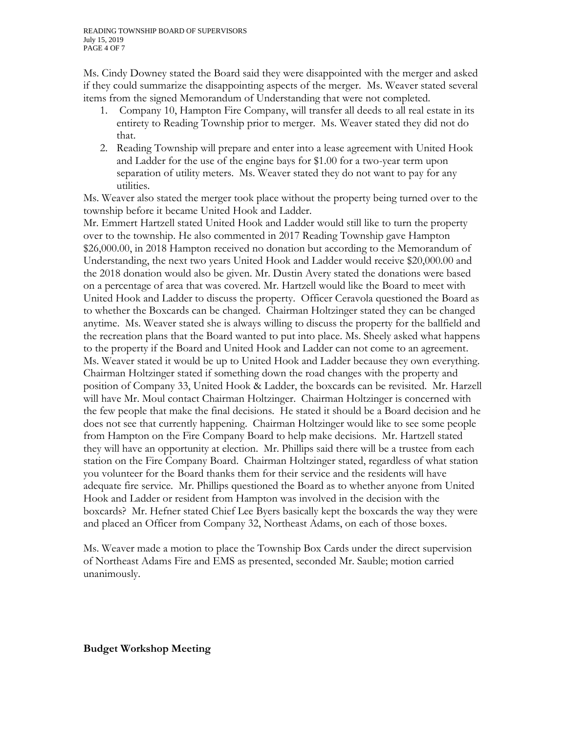Ms. Cindy Downey stated the Board said they were disappointed with the merger and asked if they could summarize the disappointing aspects of the merger. Ms. Weaver stated several items from the signed Memorandum of Understanding that were not completed.

- 1. Company 10, Hampton Fire Company, will transfer all deeds to all real estate in its entirety to Reading Township prior to merger. Ms. Weaver stated they did not do that.
- 2. Reading Township will prepare and enter into a lease agreement with United Hook and Ladder for the use of the engine bays for \$1.00 for a two-year term upon separation of utility meters. Ms. Weaver stated they do not want to pay for any utilities.

Ms. Weaver also stated the merger took place without the property being turned over to the township before it became United Hook and Ladder.

Mr. Emmert Hartzell stated United Hook and Ladder would still like to turn the property over to the township. He also commented in 2017 Reading Township gave Hampton \$26,000.00, in 2018 Hampton received no donation but according to the Memorandum of Understanding, the next two years United Hook and Ladder would receive \$20,000.00 and the 2018 donation would also be given. Mr. Dustin Avery stated the donations were based on a percentage of area that was covered. Mr. Hartzell would like the Board to meet with United Hook and Ladder to discuss the property. Officer Ceravola questioned the Board as to whether the Boxcards can be changed. Chairman Holtzinger stated they can be changed anytime. Ms. Weaver stated she is always willing to discuss the property for the ballfield and the recreation plans that the Board wanted to put into place. Ms. Sheely asked what happens to the property if the Board and United Hook and Ladder can not come to an agreement. Ms. Weaver stated it would be up to United Hook and Ladder because they own everything. Chairman Holtzinger stated if something down the road changes with the property and position of Company 33, United Hook & Ladder, the boxcards can be revisited. Mr. Harzell will have Mr. Moul contact Chairman Holtzinger. Chairman Holtzinger is concerned with the few people that make the final decisions. He stated it should be a Board decision and he does not see that currently happening. Chairman Holtzinger would like to see some people from Hampton on the Fire Company Board to help make decisions. Mr. Hartzell stated they will have an opportunity at election. Mr. Phillips said there will be a trustee from each station on the Fire Company Board. Chairman Holtzinger stated, regardless of what station you volunteer for the Board thanks them for their service and the residents will have adequate fire service. Mr. Phillips questioned the Board as to whether anyone from United Hook and Ladder or resident from Hampton was involved in the decision with the boxcards? Mr. Hefner stated Chief Lee Byers basically kept the boxcards the way they were and placed an Officer from Company 32, Northeast Adams, on each of those boxes.

Ms. Weaver made a motion to place the Township Box Cards under the direct supervision of Northeast Adams Fire and EMS as presented, seconded Mr. Sauble; motion carried unanimously.

**Budget Workshop Meeting**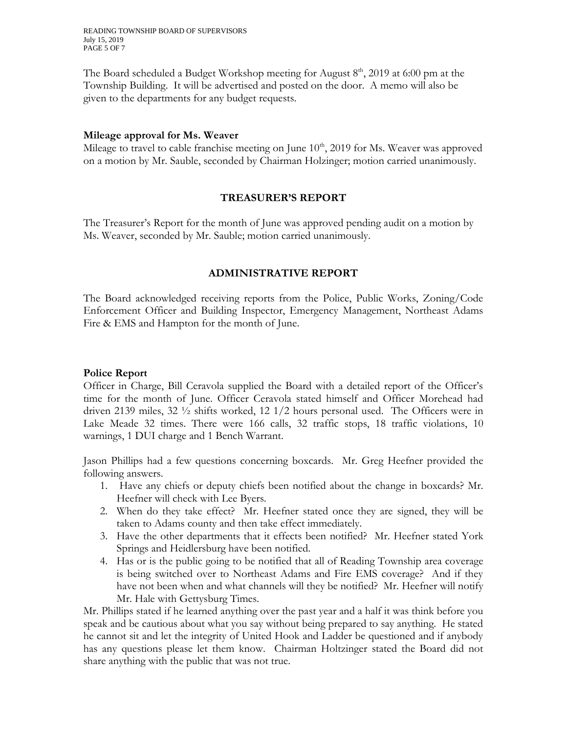READING TOWNSHIP BOARD OF SUPERVISORS July 15, 2019 PAGE 5 OF 7

The Board scheduled a Budget Workshop meeting for August  $8<sup>th</sup>$ , 2019 at 6:00 pm at the Township Building. It will be advertised and posted on the door. A memo will also be given to the departments for any budget requests.

#### **Mileage approval for Ms. Weaver**

Mileage to travel to cable franchise meeting on June  $10<sup>th</sup>$ , 2019 for Ms. Weaver was approved on a motion by Mr. Sauble, seconded by Chairman Holzinger; motion carried unanimously.

#### **TREASURER'S REPORT**

The Treasurer's Report for the month of June was approved pending audit on a motion by Ms. Weaver, seconded by Mr. Sauble; motion carried unanimously.

#### **ADMINISTRATIVE REPORT**

The Board acknowledged receiving reports from the Police, Public Works, Zoning/Code Enforcement Officer and Building Inspector, Emergency Management, Northeast Adams Fire & EMS and Hampton for the month of June.

#### **Police Report**

Officer in Charge, Bill Ceravola supplied the Board with a detailed report of the Officer's time for the month of June. Officer Ceravola stated himself and Officer Morehead had driven 2139 miles, 32 ½ shifts worked, 12 1/2 hours personal used. The Officers were in Lake Meade 32 times. There were 166 calls, 32 traffic stops, 18 traffic violations, 10 warnings, 1 DUI charge and 1 Bench Warrant.

Jason Phillips had a few questions concerning boxcards. Mr. Greg Heefner provided the following answers.

- 1. Have any chiefs or deputy chiefs been notified about the change in boxcards? Mr. Heefner will check with Lee Byers.
- 2. When do they take effect? Mr. Heefner stated once they are signed, they will be taken to Adams county and then take effect immediately.
- 3. Have the other departments that it effects been notified? Mr. Heefner stated York Springs and Heidlersburg have been notified.
- 4. Has or is the public going to be notified that all of Reading Township area coverage is being switched over to Northeast Adams and Fire EMS coverage? And if they have not been when and what channels will they be notified? Mr. Heefner will notify Mr. Hale with Gettysburg Times.

Mr. Phillips stated if he learned anything over the past year and a half it was think before you speak and be cautious about what you say without being prepared to say anything. He stated he cannot sit and let the integrity of United Hook and Ladder be questioned and if anybody has any questions please let them know. Chairman Holtzinger stated the Board did not share anything with the public that was not true.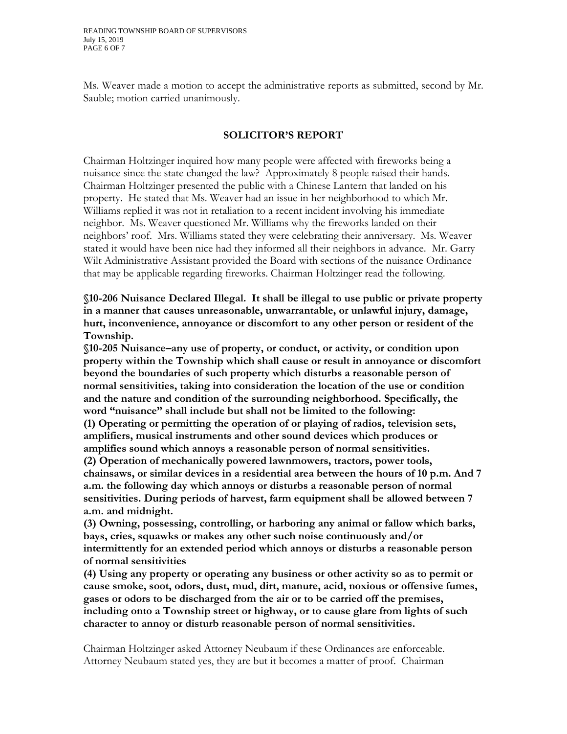Ms. Weaver made a motion to accept the administrative reports as submitted, second by Mr. Sauble; motion carried unanimously.

# **SOLICITOR'S REPORT**

Chairman Holtzinger inquired how many people were affected with fireworks being a nuisance since the state changed the law? Approximately 8 people raised their hands. Chairman Holtzinger presented the public with a Chinese Lantern that landed on his property. He stated that Ms. Weaver had an issue in her neighborhood to which Mr. Williams replied it was not in retaliation to a recent incident involving his immediate neighbor. Ms. Weaver questioned Mr. Williams why the fireworks landed on their neighbors' roof. Mrs. Williams stated they were celebrating their anniversary. Ms. Weaver stated it would have been nice had they informed all their neighbors in advance. Mr. Garry Wilt Administrative Assistant provided the Board with sections of the nuisance Ordinance that may be applicable regarding fireworks. Chairman Holtzinger read the following.

**§10-206 Nuisance Declared Illegal. It shall be illegal to use public or private property in a manner that causes unreasonable, unwarrantable, or unlawful injury, damage, hurt, inconvenience, annoyance or discomfort to any other person or resident of the Township.**

**§10-205 Nuisance–any use of property, or conduct, or activity, or condition upon property within the Township which shall cause or result in annoyance or discomfort beyond the boundaries of such property which disturbs a reasonable person of normal sensitivities, taking into consideration the location of the use or condition and the nature and condition of the surrounding neighborhood. Specifically, the word "nuisance" shall include but shall not be limited to the following: (1) Operating or permitting the operation of or playing of radios, television sets, amplifiers, musical instruments and other sound devices which produces or amplifies sound which annoys a reasonable person of normal sensitivities. (2) Operation of mechanically powered lawnmowers, tractors, power tools, chainsaws, or similar devices in a residential area between the hours of 10 p.m. And 7 a.m. the following day which annoys or disturbs a reasonable person of normal sensitivities. During periods of harvest, farm equipment shall be allowed between 7 a.m. and midnight.**

**(3) Owning, possessing, controlling, or harboring any animal or fallow which barks, bays, cries, squawks or makes any other such noise continuously and/or intermittently for an extended period which annoys or disturbs a reasonable person of normal sensitivities**

**(4) Using any property or operating any business or other activity so as to permit or cause smoke, soot, odors, dust, mud, dirt, manure, acid, noxious or offensive fumes, gases or odors to be discharged from the air or to be carried off the premises, including onto a Township street or highway, or to cause glare from lights of such character to annoy or disturb reasonable person of normal sensitivities.**

Chairman Holtzinger asked Attorney Neubaum if these Ordinances are enforceable. Attorney Neubaum stated yes, they are but it becomes a matter of proof. Chairman